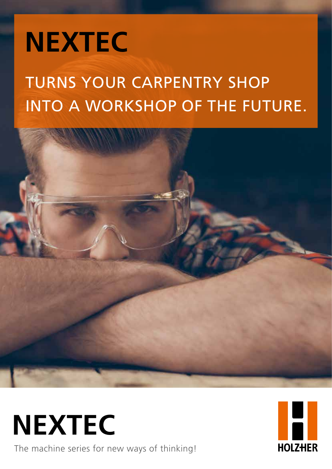# **NEXTEC**

### TURNS YOUR CARPENTRY SHOP INTO A WORKSHOP OF THE FUTURE.



The machine series for new ways of thinking! **NEXTEC**

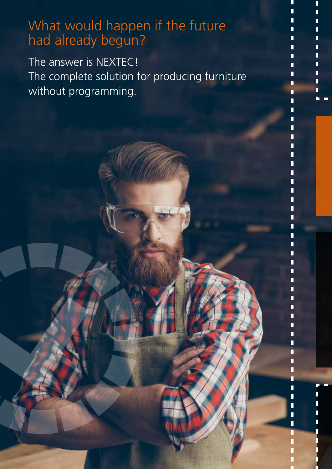### What would happen if the future had already begun?

The answer is NEXTEC! The complete solution for producing furniture without programming.

Ī

П

П П П

П П П Ī ī П n П ī П П П П П

П Г n

П П

П ī

ī ī ī n ī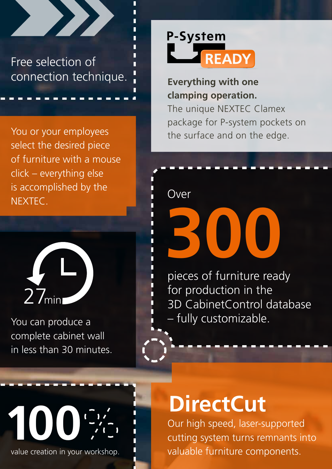

You or your employees select the desired piece of furniture with a mouse click – everything else is accomplished by the NEXTEC.



You can produce a complete cabinet wall in less than 30 minutes.



**Everything with one clamping operation.**  The unique NEXTEC Clamex package for P-system pockets on the surface and on the edge.

Over

**300**

pieces of furniture ready for production in the 3D CabinetControl database – fully customizable.



value creation in your workshop.

## **DirectCut**

Our high speed, laser-supported cutting system turns remnants into valuable furniture components.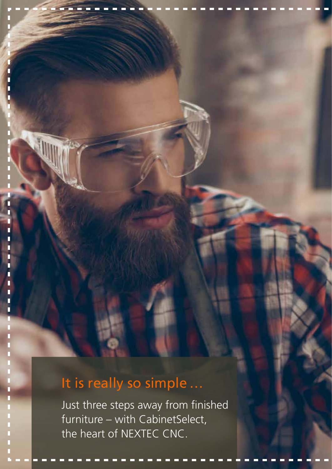### It is really so simple ...

Г П

> Just three steps away from finished furniture – with CabinetSelect, the heart of NEXTEC CNC.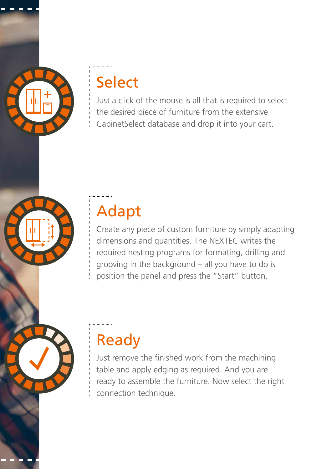### Select

Just a click of the mouse is all that is required to select the desired piece of furniture from the extensive CabinetSelect database and drop it into your cart.

## Adapt

Create any piece of custom furniture by simply adapting dimensions and quantities. The NEXTEC writes the required nesting programs for formating, drilling and grooving in the background – all you have to do is position the panel and press the "Start" button.

Ready

Just remove the finished work from the machining table and apply edging as required. And you are ready to assemble the furniture. Now select the right connection technique.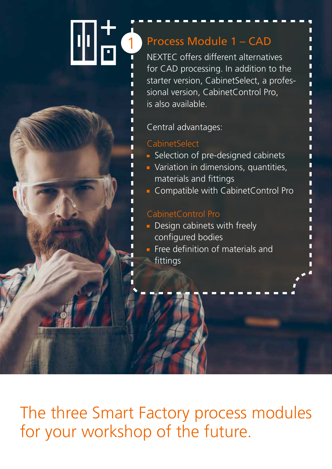#### Шä 1 Process Module 1 – CAD NEXTEC offers different alternatives

for CAD processing. In addition to the starter version, CabinetSelect, a professional version, CabinetControl Pro, is also available.

П Π Π Г Π Π П Г П Г П

П П Ē П Π П

#### Central advantages:

#### CabinetSelect

- Selection of pre-designed cabinets
- **variation in dimensions, quantities,** materials and fittings
- **Compatible with CabinetControl Pro**

#### CabinetControl Pro

- **Design cabinets with freely** configured bodies
- $\blacksquare$  Free definition of materials and fittings

The three Smart Factory process modules for your workshop of the future.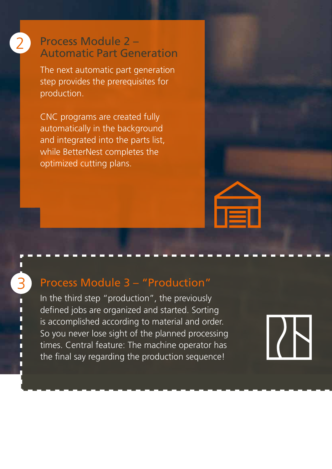#### Process Module 2 – 2 Process Module 2 –<br>Automatic Part Generation

The next automatic part generation step provides the prerequisites for production.

CNC programs are created fully automatically in the background and integrated into the parts list, while BetterNest completes the optimized cutting plans.

#### Process Module 3 – "Production"

3

In the third step "production", the previously defined jobs are organized and started. Sorting is accomplished according to material and order. So you never lose sight of the planned processing times. Central feature: The machine operator has the final say regarding the production sequence!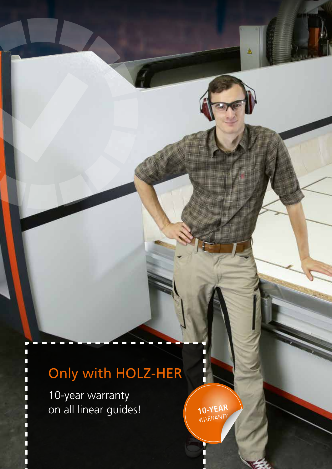### Only with HOLZ-HER

10-year warranty on all linear guides!

**10-YEAR** WARRANTY Δ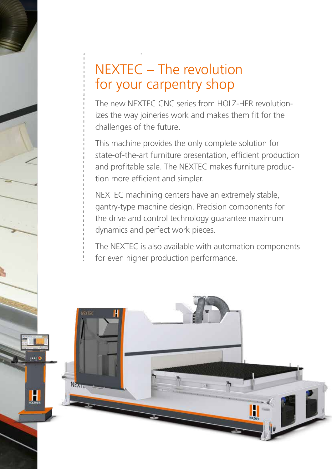### NEXTEC – The revolution for your carpentry shop

The new NEXTEC CNC series from HOLZ-HER revolutionizes the way joineries work and makes them fit for the challenges of the future.

This machine provides the only complete solution for state-of-the-art furniture presentation, efficient production and profitable sale. The NEXTEC makes furniture production more efficient and simpler.

NEXTEC machining centers have an extremely stable, gantry-type machine design. Precision components for the drive and control technology guarantee maximum dynamics and perfect work pieces.

The NEXTEC is also available with automation components for even higher production performance.

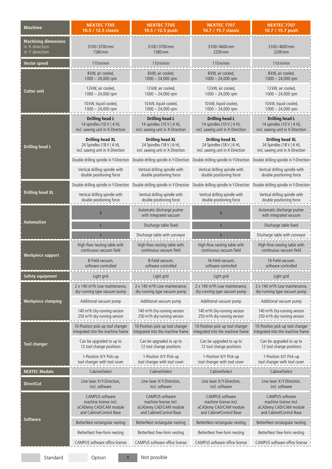| <b>Machine</b>                                                  | <b>NEXTEC 7705</b><br>10.5 / 12.5 classic                                                            | <b>NEXTEC 7705</b><br>10.5 / 12.5 push                                                                                                                      | <b>NEXTEC 7707</b><br>10.7 / 15.7 classic                                                     | <b>NEXTEC 7707</b><br>10.7 / 15.7 push                                                        |
|-----------------------------------------------------------------|------------------------------------------------------------------------------------------------------|-------------------------------------------------------------------------------------------------------------------------------------------------------------|-----------------------------------------------------------------------------------------------|-----------------------------------------------------------------------------------------------|
| <b>Machining dimensions</b><br>in X direction<br>in Y direction | 3100/3700mm<br>1580 mm                                                                               | 3100/3700 mm<br>1580 mm                                                                                                                                     | 3100/4600mm<br>2200 mm                                                                        | 3100/4600 mm<br>2200 mm                                                                       |
| <b>Vector speed</b>                                             | $110 \,\mathrm{m/min}$                                                                               | $110$ m/min                                                                                                                                                 | $110 \,\mathrm{m/min}$                                                                        | $110 \,\mathrm{m/min}$                                                                        |
| <b>Cutter unit</b>                                              | 8 kW, air cooled,<br>$1000 - 24,000$ rpm                                                             | 8 kW, air cooled,<br>$1000 - 24,000$ rpm                                                                                                                    | 8 kW, air cooled,<br>$1000 - 24,000$ rpm                                                      | 8 kW, air cooled,<br>$1000 - 24,000$ rpm                                                      |
|                                                                 | 12 kW, air cooled,<br>$1000 - 24,000$ rpm                                                            | 12 kW, air cooled,<br>$1000 - 24,000$ rpm                                                                                                                   | 12 kW, air cooled,<br>$1000 - 24,000$ rpm                                                     | 12 kW, air cooled,<br>$1000 - 24,000$ rpm                                                     |
|                                                                 | 10 kW, liquid cooled,<br>1000 - 24,000 rpm                                                           | 10 kW, liquid cooled,<br>1000 - 24,000 rpm                                                                                                                  | 10 kW, liquid cooled,<br>1000 - 24,000 rpm                                                    | 10 kW, liquid cooled,<br>$1000 - 24,000$ rpm                                                  |
| <b>Drilling head L</b>                                          | <b>Drilling head L</b><br>14 spindles (10 V   4 H),<br>incl. sawing unit in X-Direction              | <b>Drilling head L</b><br>14 spindles (10 V   4 H),<br>incl. sawing unit in X-Direction                                                                     | <b>Drilling head L</b><br>14 spindles (10 V   4 H),<br>incl. sawing unit in X-Direction       | Drilling head L<br>14 spindles (10 V   4 H),<br>incl. sawing unit in X-Direction              |
|                                                                 | <b>Drilling head XL</b><br>24 Spindles (18 V   6 H),<br>incl. sawing unit in X-Direction             | <b>Drilling head XL</b><br>24 Spindles (18 V   6 H),<br>incl. sawing unit in X-Direction                                                                    | <b>Drilling head XL</b><br>24 Spindles (18 V   6 H),<br>incl. sawing unit in X-Direction      | <b>Drilling head XL</b><br>24 Spindles (18 V   6 H),<br>incl. sawing unit in X-Direction      |
|                                                                 | Double drilling spindle in Y-Direction                                                               | Double drilling spindle in Y-Direction  Double drilling spindle in Y-Direction                                                                              |                                                                                               | Double drilling spindle in Y-Direction                                                        |
|                                                                 | Vertical drilling spindle with<br>double positioning force                                           | Vertical drilling spindle with<br>double positioning force                                                                                                  | Vertical drilling spindle with<br>double positioning force                                    | Vertical drilling spindle with<br>double positioning force                                    |
| <b>Drilling head XL</b>                                         |                                                                                                      | Double drilling spindle in Y-Direction Double drilling spindle in Y-Direction Double drilling spindle in Y-Direction Double drilling spindle in Y-Direction |                                                                                               |                                                                                               |
|                                                                 | Vertical drilling spindle with<br>double positioning force                                           | Vertical drilling spindle with<br>double positioning force                                                                                                  | Vertical drilling spindle with<br>double positioning force                                    | Vertical drilling spindle with<br>double positioning force                                    |
| <b>Automation</b>                                               | $\mathsf X$                                                                                          | Automatic discharge pusher<br>with integrated vacuum                                                                                                        | $\mathsf X$                                                                                   | Automatic discharge pusher<br>with integrated vacuum                                          |
|                                                                 | $\mathsf{X}% _{0}$                                                                                   | Discharge table fixed                                                                                                                                       | $\mathsf{X}$                                                                                  | Discharge table fixed                                                                         |
|                                                                 | $\mathsf{X}$                                                                                         | Discharge table with conveyor                                                                                                                               | $\mathsf X$                                                                                   | Discharge table with conveyor                                                                 |
| <b>Workpiece support</b>                                        | High-flow nesting table with<br>continuous vacuum field                                              | High-flow nesting table with<br>continuous vacuum field                                                                                                     | High-flow nesting table with<br>continuous vacuum field                                       | High-flow nesting table with<br>continuous vacuum field                                       |
|                                                                 | 8-Field vacuum,<br>software controlled                                                               | 8-Field vacuum,<br>software controlled                                                                                                                      | 16-Field vacuum,<br>software controlled                                                       | 16-Field vacuum.<br>software controlled                                                       |
| <b>Safety equipment</b>                                         | Light grid                                                                                           | Light grid                                                                                                                                                  | Light grid                                                                                    | Light grid                                                                                    |
| <b>Workpiece clamping</b>                                       | 2 x 140 m <sup>3</sup> /h Low maintenance,<br>dry-running type vacuum pump                           | 2 x 140 m <sup>3</sup> /h Low maintenance,<br>dry-running type vacuum pump                                                                                  | 2 x 140 m <sup>3</sup> /h Low maintenance,<br>dry-running type vacuum pump                    | 2 x 140 m <sup>3</sup> /h Low maintenance,<br>dry-running type vacuum pump                    |
|                                                                 | Additional vacuum pump                                                                               | Additional vacuum pump                                                                                                                                      | Additional vacuum pump                                                                        | Additional vacuum pump                                                                        |
|                                                                 | 140 m <sup>3</sup> /h Dry-running version<br>250 m <sup>3</sup> /h dry-running version               | 140 m <sup>3</sup> /h Dry-running version<br>250 m <sup>3</sup> /h dry-running version                                                                      | 140 m <sup>3</sup> /h Dry-running version<br>250 m <sup>3</sup> /h dry-running version        | 140 m <sup>3</sup> /h Dry-running version<br>250 m <sup>3</sup> /h dry-running version        |
| <b>Tool changer</b>                                             | 10-Position pick-up tool changer<br>integrated into the machine frame                                | 10-Position pick-up tool changer<br>integrated into the machine frame                                                                                       | 10-Position pick-up tool changer<br>integrated into the machine frame                         | 10-Position pick-up tool changer<br>integrated into the machine frame                         |
|                                                                 | Can be upgraded to up to<br>12 tool change positions                                                 | Can be upgraded to up to<br>12 tool change positions                                                                                                        | Can be upgraded to up to<br>12 tool change positions                                          | Can be upgraded to up to<br>12 tool change positions                                          |
|                                                                 | 1-Position X/Y Pick-up<br>tool changer with tool cover                                               | 1-Position X/Y Pick-up<br>tool changer with tool cover                                                                                                      | 1-Position X/Y Pick-up<br>tool changer with tool cover                                        | 1-Position X/Y Pick-up<br>tool changer with tool cover                                        |
| <b>NEXTEC Module</b>                                            | CabinetSelect                                                                                        | CabinetSelect                                                                                                                                               | CabinetSelect                                                                                 | CabinetSelect                                                                                 |
| <b>DirectCut</b>                                                | Line laser X/Y-Direction,<br>incl. software                                                          | Line laser X/Y-Direction,<br>incl. software                                                                                                                 | Line laser X/Y-Direction,<br>incl. software                                                   | Line laser X/Y-Direction,<br>incl. software                                                   |
| <b>Software</b>                                                 | <b>CAMPUS</b> software<br>machine license incl.<br>aCADemy CAD/CAM module<br>and CabinetControl Base | <b>CAMPUS</b> software<br>machine license incl.<br>aCADemy CAD/CAM module<br>and CabinetControl Base                                                        | CAMPUS software<br>machine license incl.<br>aCADemy CAD/CAM module<br>and CabinetControl Base | CAMPUS software<br>machine license incl.<br>aCADemy CAD/CAM module<br>and CabinetControl Base |
|                                                                 | BetterNest rectangular nesting                                                                       | BetterNest rectangular nesting                                                                                                                              | BetterNest rectangular nesting                                                                | BetterNest rectangular nesting                                                                |
|                                                                 | BetterNest free-form nesting                                                                         | BetterNest free-form nesting                                                                                                                                | BetterNest free-form nesting                                                                  | BetterNest free-form nesting                                                                  |
|                                                                 | CAMPUS software office license                                                                       | CAMPUS software office license                                                                                                                              | CAMPUS software office license                                                                | CAMPUS software office license                                                                |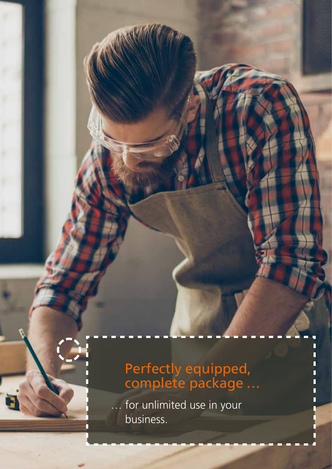### Perfectly equipped, complete package …

ı Π П

for unlimited use in your business.